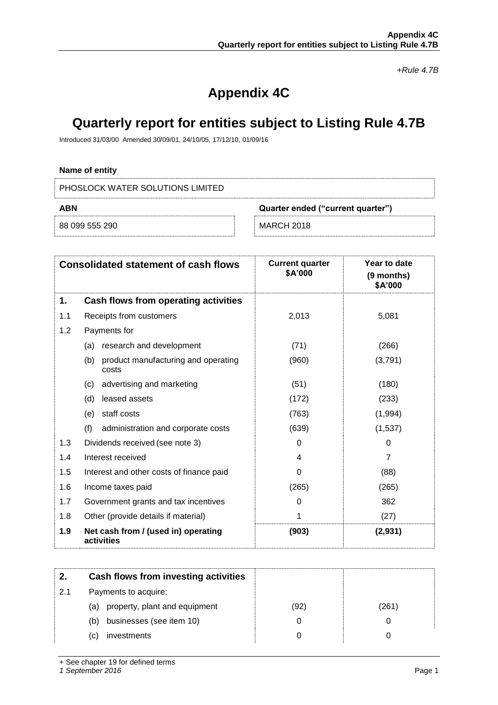*+Rule 4.7B*

# **Appendix 4C**

## **Quarterly report for entities subject to Listing Rule 4.7B**

Introduced 31/03/00 Amended 30/09/01, 24/10/05, 17/12/10, 01/09/16

## **Name of entity**

PHOSLOCK WATER SOLUTIONS LIMITED

| ABN<br>Quarter ended ("current quarter") |                   |
|------------------------------------------|-------------------|
| 88 099 555 290                           | <b>MARCH 2018</b> |

|     | <b>Consolidated statement of cash flows</b>         | <b>Current quarter</b><br>\$A'000 | Year to date<br>(9 months)<br>\$A'000 |
|-----|-----------------------------------------------------|-----------------------------------|---------------------------------------|
| 1.  | Cash flows from operating activities                |                                   |                                       |
| 1.1 | Receipts from customers                             | 2,013                             | 5,081                                 |
| 1.2 | Payments for                                        |                                   |                                       |
|     | research and development<br>(a)                     | (71)                              | (266)                                 |
|     | (b)<br>product manufacturing and operating<br>costs | (960)                             | (3,791)                               |
|     | advertising and marketing<br>(c)                    | (51)                              | (180)                                 |
|     | (d)<br>leased assets                                | (172)                             | (233)                                 |
|     | staff costs<br>(e)                                  | (763)                             | (1,994)                               |
|     | (f)<br>administration and corporate costs           | (639)                             | (1,537)                               |
| 1.3 | Dividends received (see note 3)                     | 0                                 | $\Omega$                              |
| 1.4 | Interest received                                   | 4                                 | $\overline{7}$                        |
| 1.5 | Interest and other costs of finance paid            | 0                                 | (88)                                  |
| 1.6 | Income taxes paid                                   | (265)                             | (265)                                 |
| 1.7 | Government grants and tax incentives                | 0                                 | 362                                   |
| 1.8 | Other (provide details if material)                 | 1                                 | (27)                                  |
| 1.9 | Net cash from / (used in) operating<br>activities   | (903)                             | (2,931)                               |

| 2.  | Cash flows from investing activities |      |       |
|-----|--------------------------------------|------|-------|
| 2.1 | Payments to acquire:                 |      |       |
|     | property, plant and equipment<br>(a) | (92) | (261) |
|     | businesses (see item 10)<br>(b)      |      |       |
|     | investments<br>C)                    |      |       |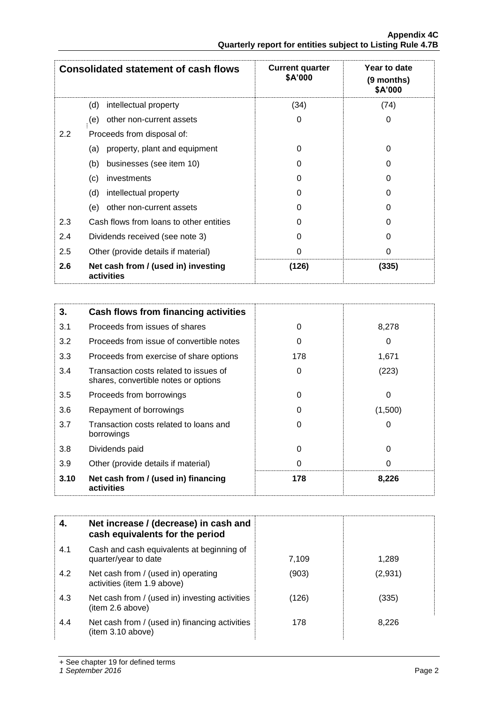|               | <b>Consolidated statement of cash flows</b>       | <b>Current quarter</b><br>\$A'000 | Year to date<br>(9 months)<br>\$A'000 |
|---------------|---------------------------------------------------|-----------------------------------|---------------------------------------|
|               | intellectual property<br>(d)                      | (34)                              | (74)                                  |
|               | other non-current assets<br>(e)                   | 0                                 | 0                                     |
| $2.2^{\circ}$ | Proceeds from disposal of:                        |                                   |                                       |
|               | property, plant and equipment<br>(a)              | 0                                 | 0                                     |
|               | businesses (see item 10)<br>(b)                   | 0                                 | O                                     |
|               | (c)<br>investments                                | 0                                 | 0                                     |
|               | (d)<br>intellectual property                      | 0                                 | O                                     |
|               | other non-current assets<br>(e)                   | 0                                 | 0                                     |
| 2.3           | Cash flows from loans to other entities           | 0                                 | U                                     |
| 2.4           | Dividends received (see note 3)                   | 0                                 | 0                                     |
| 2.5           | Other (provide details if material)               | 0                                 | 0                                     |
| 2.6           | Net cash from / (used in) investing<br>activities | (126)                             | (335)                                 |

| 3.   | Cash flows from financing activities                                           |     |          |
|------|--------------------------------------------------------------------------------|-----|----------|
| 3.1  | Proceeds from issues of shares                                                 | 0   | 8,278    |
| 3.2  | Proceeds from issue of convertible notes                                       | 0   | 0        |
| 3.3  | Proceeds from exercise of share options                                        | 178 | 1,671    |
| 3.4  | Transaction costs related to issues of<br>shares, convertible notes or options | 0   | (223)    |
| 3.5  | Proceeds from borrowings                                                       | 0   | 0        |
| 3.6  | Repayment of borrowings                                                        | O   | (1,500)  |
| 3.7  | Transaction costs related to loans and<br>borrowings                           | 0   | 0        |
| 3.8  | Dividends paid                                                                 | 0   | $\Omega$ |
| 3.9  | Other (provide details if material)                                            | 0   | 0        |
| 3.10 | Net cash from / (used in) financing<br>activities                              | 178 | 8,226    |

|     | Net increase / (decrease) in cash and<br>cash equivalents for the period |       |         |
|-----|--------------------------------------------------------------------------|-------|---------|
| 4.1 | Cash and cash equivalents at beginning of<br>quarter/year to date        | 7,109 | 1.289   |
| 4.2 | Net cash from / (used in) operating<br>activities (item 1.9 above)       | (903) | (2,931) |
| 4.3 | Net cash from / (used in) investing activities<br>(item 2.6 above)       | (126) | (335)   |
| 4.4 | Net cash from / (used in) financing activities<br>(item 3.10 above)      | 178   | 8.226   |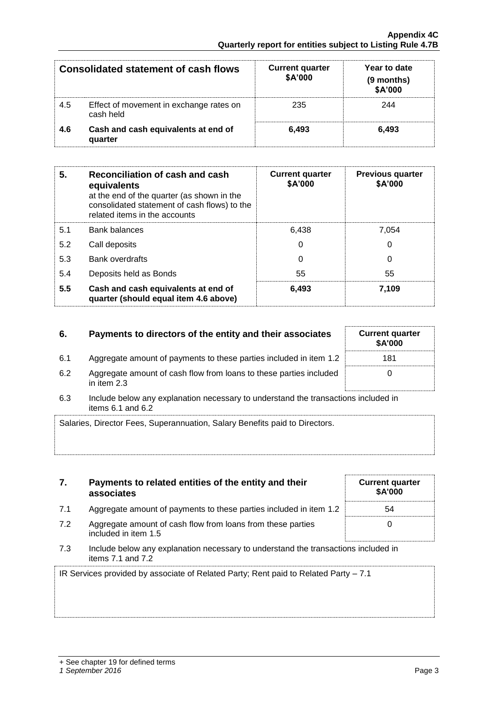|     | <b>Consolidated statement of cash flows</b>          | <b>Current quarter</b><br>\$A'000 | Year to date<br>(9 months)<br>\$A'000 |
|-----|------------------------------------------------------|-----------------------------------|---------------------------------------|
| 4.5 | Effect of movement in exchange rates on<br>cash held | 235                               | 244                                   |
| 4.6 | Cash and cash equivalents at end of<br>quarter       | 6.493                             | 6.493                                 |

| 5.  | Reconciliation of cash and cash<br>equivalents<br>at the end of the quarter (as shown in the<br>consolidated statement of cash flows) to the<br>related items in the accounts | <b>Current quarter</b><br>\$A'000 | <b>Previous quarter</b><br>\$A'000 |
|-----|-------------------------------------------------------------------------------------------------------------------------------------------------------------------------------|-----------------------------------|------------------------------------|
| 5.1 | <b>Bank balances</b>                                                                                                                                                          | 6.438                             | 7,054                              |
| 5.2 | Call deposits                                                                                                                                                                 | 0                                 | $\Omega$                           |
| 5.3 | <b>Bank overdrafts</b>                                                                                                                                                        | 0                                 | 0                                  |
| 5.4 | Deposits held as Bonds                                                                                                                                                        | 55                                | 55                                 |
| 5.5 | Cash and cash equivalents at end of<br>quarter (should equal item 4.6 above)                                                                                                  | 6,493                             | 7.109                              |

## **6.** Payments to directors of the entity and their associates

- 6.1 Aggregate amount of payments to these parties included in item 1.2
- 6.2 Aggregate amount of cash flow from loans to these parties included in item 2.3
- 6.3 Include below any explanation necessary to understand the transactions included in items  $6.1$  and  $6.2$

| Salaries, Director Fees, Superannuation, Salary Benefits paid to Directors. |  |
|-----------------------------------------------------------------------------|--|
|                                                                             |  |
|                                                                             |  |

| Payments to related entities of the entity and their |  |
|------------------------------------------------------|--|
| associates                                           |  |

- 7.1 Aggregate amount of payments to these parties incl
- 7.2 Aggregate amount of cash flow from loans from the included in item 1.5
- 7.3 Include below any explanation necessary to unders items 7.1 and 7.2

IR Services provided by associate of Related Party; Rent paid to Related Party – 7.1

|                                   | \$A'000 |
|-----------------------------------|---------|
| luded in item 1.2                 |         |
| se parties                        |         |
| tand the transactions included in |         |

| <b>Current quarter</b><br>\$A'000 |  |
|-----------------------------------|--|
| 181                               |  |
| O                                 |  |

**Current quarter**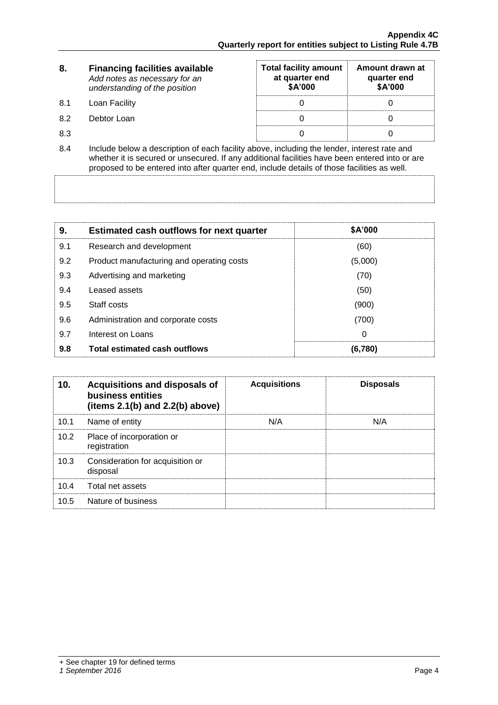| 8.  | <b>Financing facilities available</b><br>Add notes as necessary for an<br>understanding of the position                                                                                                                                                                                      | <b>Total facility amount</b><br>at quarter end<br><b>\$A'000</b> | Amount drawn at<br>quarter end<br>\$A'000 |  |
|-----|----------------------------------------------------------------------------------------------------------------------------------------------------------------------------------------------------------------------------------------------------------------------------------------------|------------------------------------------------------------------|-------------------------------------------|--|
| 8.1 | Loan Facility                                                                                                                                                                                                                                                                                |                                                                  |                                           |  |
| 8.2 | Debtor Loan                                                                                                                                                                                                                                                                                  |                                                                  |                                           |  |
| 8.3 |                                                                                                                                                                                                                                                                                              |                                                                  |                                           |  |
| 8.4 | Include below a description of each facility above, including the lender, interest rate and<br>whether it is secured or unsecured. If any additional facilities have been entered into or are<br>proposed to be entered into after quarter end, include details of those facilities as well. |                                                                  |                                           |  |

| 9.  | <b>Estimated cash outflows for next quarter</b> | <b>\$A'000</b> |
|-----|-------------------------------------------------|----------------|
| 9.1 | Research and development                        | (60)           |
| 9.2 | Product manufacturing and operating costs       | (5,000)        |
| 9.3 | Advertising and marketing                       | (70)           |
| 9.4 | Leased assets                                   | (50)           |
| 9.5 | Staff costs                                     | (900)          |
| 9.6 | Administration and corporate costs              | (700)          |
| 9.7 | Interest on Loans                               | 0              |
| 9.8 | <b>Total estimated cash outflows</b>            | (6.780)        |

| 10.  | Acquisitions and disposals of<br>business entities<br>(items $2.1(b)$ and $2.2(b)$ above) | <b>Acquisitions</b> | <b>Disposals</b> |
|------|-------------------------------------------------------------------------------------------|---------------------|------------------|
| 10.1 | Name of entity                                                                            | N/A                 | N/A              |
| 10.2 | Place of incorporation or<br>registration                                                 |                     |                  |
| 10.3 | Consideration for acquisition or<br>disposal                                              |                     |                  |
| 10.4 | Total net assets                                                                          |                     |                  |
| 10.5 | Nature of business                                                                        |                     |                  |